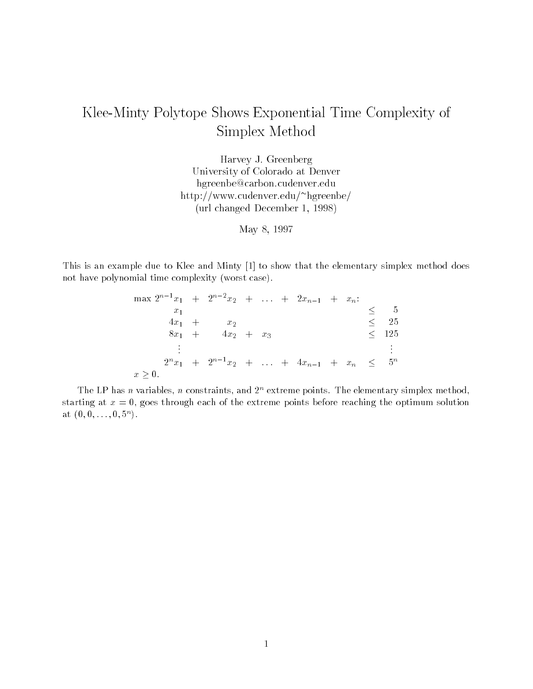## Klee-Minty Polytope Shows Exponential Time Complexity of Simplex Method

Harvey J. GreenbergUniversity of Colorado at Denverhgreenbe@carbon.cudenver.eduhttp://www.cudenver.edu/ hgreenbe/(url changed December 1, 1998)

May 8, 1997

This is an example due to Klee and Minty [1] to show that the elementary simplex method does not have polynomial time complexity (worst case).

|           |          | max $2^{n-1}x_1$ + $2^{n-2}x_2$ +  + $2x_{n-1}$ + $x_n$ : |  |  |  |            |
|-----------|----------|-----------------------------------------------------------|--|--|--|------------|
|           | $x_1$    |                                                           |  |  |  |            |
|           | $4x_1 +$ | $x_2$                                                     |  |  |  | -25        |
|           | $8x_1 +$ | $4x_2 + x_3$                                              |  |  |  | $\leq$ 125 |
|           |          |                                                           |  |  |  | $\bullet$  |
|           |          | $2^n x_1 + 2^{n-1} x_2 + \ldots + 4x_{n-1} + x_n \leq$    |  |  |  | $5^n$      |
| $x > 0$ . |          |                                                           |  |  |  |            |

The LP has n variables, n constraints, and 2° extreme points. The elementary simplex method, starting at  $x = 0$ , goes through each of the extreme points before reaching the optimum solution at (0,0,...,0,37).